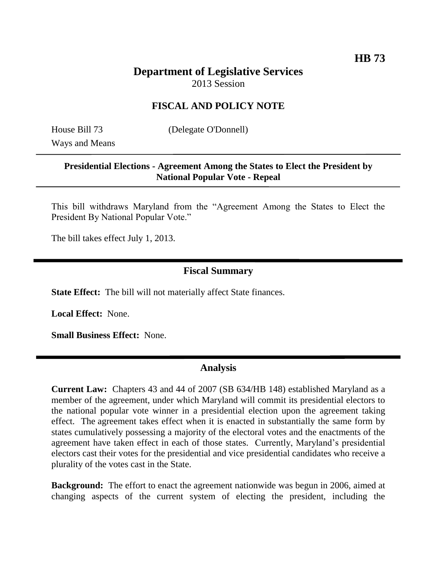# **Department of Legislative Services** 2013 Session

### **FISCAL AND POLICY NOTE**

Ways and Means

House Bill 73 (Delegate O'Donnell)

#### **Presidential Elections - Agreement Among the States to Elect the President by National Popular Vote - Repeal**

This bill withdraws Maryland from the "Agreement Among the States to Elect the President By National Popular Vote."

The bill takes effect July 1, 2013.

## **Fiscal Summary**

**State Effect:** The bill will not materially affect State finances.

**Local Effect:** None.

**Small Business Effect:** None.

### **Analysis**

**Current Law:** Chapters 43 and 44 of 2007 (SB 634/HB 148) established Maryland as a member of the agreement, under which Maryland will commit its presidential electors to the national popular vote winner in a presidential election upon the agreement taking effect. The agreement takes effect when it is enacted in substantially the same form by states cumulatively possessing a majority of the electoral votes and the enactments of the agreement have taken effect in each of those states. Currently, Maryland's presidential electors cast their votes for the presidential and vice presidential candidates who receive a plurality of the votes cast in the State.

**Background:** The effort to enact the agreement nationwide was begun in 2006, aimed at changing aspects of the current system of electing the president, including the